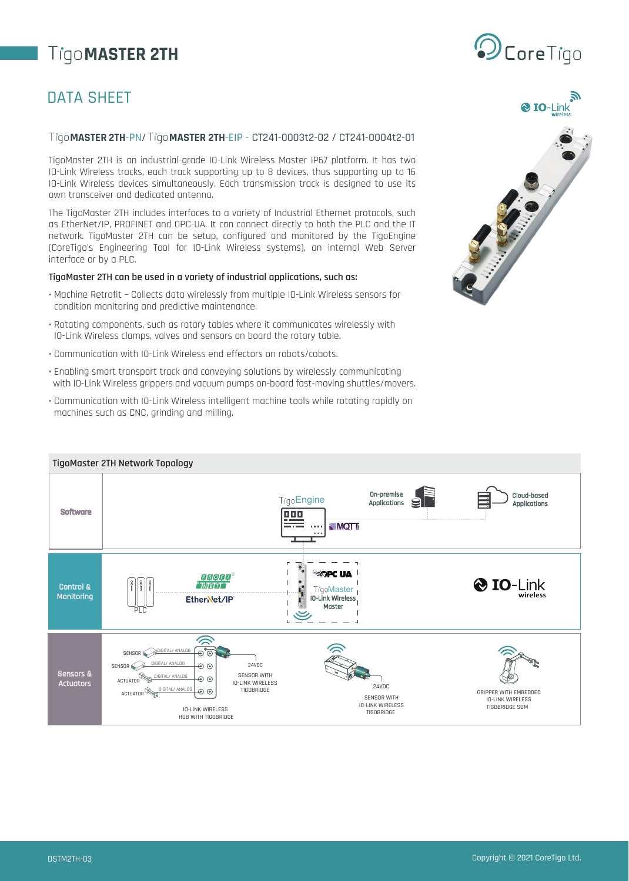# **MASTER 2TH**

### DATA SHEET

#### **MASTER 2TH**-PN/ **MASTER 2TH**-EIP - CT241-0003t2-02 / CT241-0004t2-01

TigoMaster 2TH is an industrial-grade IO-Link Wireless Master IP67 platform. It has two IO-Link Wireless tracks, each track supporting up to 8 devices, thus supporting up to 16 IO-Link Wireless devices simultaneously. Each transmission track is designed to use its own transceiver and dedicated antenna.

The TigoMaster 2TH includes interfaces to a variety of Industrial Ethernet protocols, such as EtherNet/IP, PROFINET and OPC-UA. It can connect directly to both the PLC and the IT network. TigoMaster 2TH can be setup, configured and monitored by the TigoEngine (CoreTigo's Engineering Tool for IO-Link Wireless systems), an internal Web Server interface or by a PLC.

#### **TigoMaster 2TH can be used in a variety of industrial applications, such as:**

- Machine Retrofit Collects data wirelessly from multiple IO-Link Wireless sensors for condition monitoring and predictive maintenance.
- Rotating components, such as rotary tables where it communicates wirelessly with IO-Link Wireless clamps, valves and sensors on board the rotary table.
- Communication with IO-Link Wireless end effectors on robots/cobots.
- Enabling smart transport track and conveying solutions by wirelessly communicating with IO-Link Wireless grippers and vacuum pumps on-board fast-moving shuttles/movers.
- Communication with IO-Link Wireless intelligent machine tools while rotating rapidly on machines such as CNC, grinding and milling.





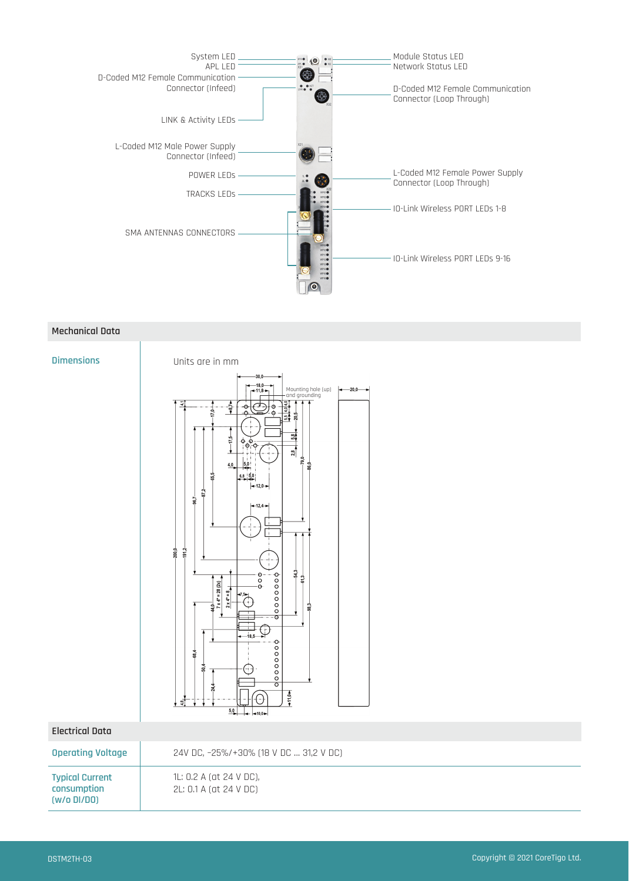

#### **Mechanical Data**

#### **Dimensions**



#### **Electrical Data**

| <b>Operating Voltage</b>                             | 24V DC, -25%/+30% (18 V DC  31,2 V DC)            |
|------------------------------------------------------|---------------------------------------------------|
| <b>Typical Current</b><br>consumption<br>(W/O DI/DO) | 1L: 0.2 A (at 24 V DC),<br>2L: 0.1 A (at 24 V DC) |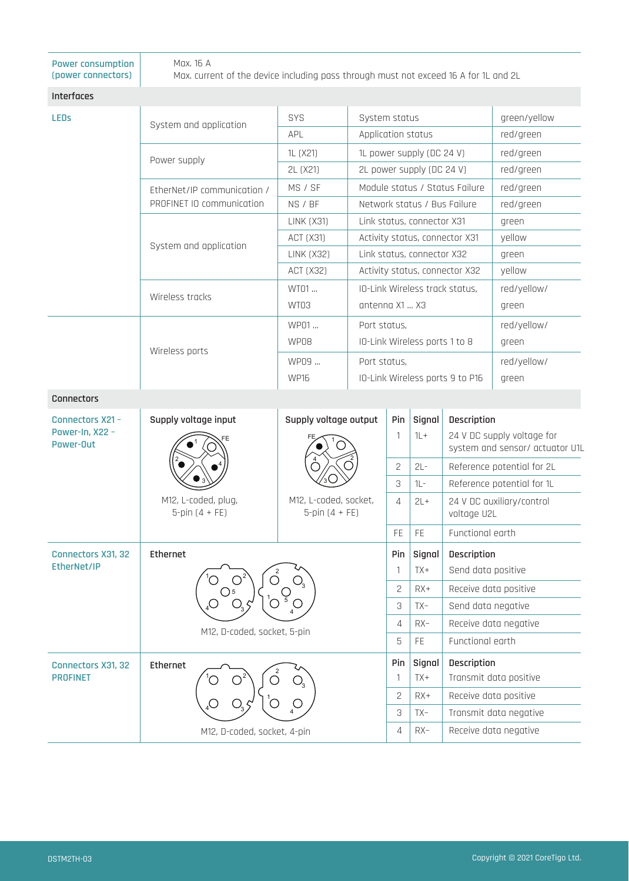| <b>Power consumption</b><br>(power connectors) | Max. 16 A<br>Max. current of the device including pass through must not exceed 16 A for 1L and 2L |                                           |                                                 |                               |                                |                                                               |                            |  |
|------------------------------------------------|---------------------------------------------------------------------------------------------------|-------------------------------------------|-------------------------------------------------|-------------------------------|--------------------------------|---------------------------------------------------------------|----------------------------|--|
| Interfaces                                     |                                                                                                   |                                           |                                                 |                               |                                |                                                               |                            |  |
| <b>LEDs</b>                                    |                                                                                                   | SYS                                       | System status                                   |                               |                                |                                                               | green/yellow               |  |
|                                                | System and application                                                                            | <b>APL</b>                                | Application status                              |                               |                                | red/green                                                     |                            |  |
|                                                |                                                                                                   | 1L (X21)                                  | 1L power supply (DC 24 V)                       |                               |                                | red/green                                                     |                            |  |
|                                                | Power supply                                                                                      | 2L (X21)                                  | 2L power supply (DC 24 V)                       |                               |                                | red/green                                                     |                            |  |
|                                                | EtherNet/IP communication /                                                                       | MS / SF                                   | Module status / Status Failure                  |                               |                                |                                                               | red/green                  |  |
|                                                | PROFINET IO communication                                                                         | NS / BF                                   | Network status / Bus Failure                    |                               |                                |                                                               | red/green                  |  |
|                                                |                                                                                                   | <b>LINK (X31)</b>                         | Link status, connector X31                      |                               |                                | green                                                         |                            |  |
|                                                | System and application                                                                            | <b>ACT (X31)</b>                          | Activity status, connector X31                  |                               |                                |                                                               | yellow                     |  |
|                                                |                                                                                                   | <b>LINK (X32)</b>                         | Link status, connector X32                      |                               |                                |                                                               | green                      |  |
|                                                |                                                                                                   | <b>ACT (X32)</b>                          | Activity status, connector X32                  |                               |                                |                                                               | yellow                     |  |
|                                                | Wireless tracks                                                                                   | WT01                                      |                                                 |                               | IO-Link Wireless track status, |                                                               | red/yellow/                |  |
|                                                |                                                                                                   | WT03                                      | antenna X1  X3                                  |                               |                                |                                                               | green                      |  |
|                                                |                                                                                                   | WP01                                      |                                                 | Port status,                  |                                |                                                               | red/yellow/                |  |
|                                                | Wireless ports                                                                                    | WP08                                      |                                                 | IO-Link Wireless ports 1 to 8 |                                |                                                               | green                      |  |
|                                                |                                                                                                   | WP09                                      | Port status,<br>IO-Link Wireless ports 9 to P16 |                               |                                |                                                               | red/yellow/                |  |
|                                                |                                                                                                   | <b>WP16</b>                               |                                                 |                               |                                |                                                               | green                      |  |
| Connectors                                     |                                                                                                   |                                           |                                                 |                               |                                |                                                               |                            |  |
| Connectors X21 -                               | Supply voltage input<br>Supply voltage output                                                     |                                           |                                                 | Pin                           | Signal                         | Description                                                   |                            |  |
| Power-In, X22 -<br>Power-Out                   | M12, L-coded, plug,<br>$5$ -pin $(4 + FE)$                                                        | M12, L-coded, socket,<br>5-pin $(4 + FE)$ |                                                 | $\mathbf{1}$                  | $1L +$                         | 24 V DC supply voltage for<br>system and sensor/ actuator U1L |                            |  |
|                                                |                                                                                                   |                                           |                                                 | $\mathbf{Z}$                  | $2L -$                         |                                                               | Reference potential for 2L |  |
|                                                |                                                                                                   |                                           |                                                 | 3                             | $1L -$                         |                                                               | Reference potential for 1L |  |
|                                                |                                                                                                   |                                           |                                                 | 4                             | $2L +$                         | voltage U2L                                                   | 24 V DC auxiliary/control  |  |
|                                                |                                                                                                   |                                           |                                                 | FE                            | FE                             | Functional earth                                              |                            |  |
| Connectors X31, 32                             | Ethernet                                                                                          |                                           |                                                 | Pin                           | Signal                         | Description                                                   |                            |  |
| EtherNet/IP                                    |                                                                                                   |                                           |                                                 | 1                             | TX+                            | Send data positive                                            |                            |  |
|                                                | O                                                                                                 |                                           |                                                 | $\mathbf{2}$                  | $RX+$                          | Receive data positive                                         |                            |  |
|                                                | M12, D-coded, socket, 5-pin                                                                       |                                           | 3                                               | $TX -$                        | Send data negative             |                                                               |                            |  |
|                                                |                                                                                                   |                                           |                                                 | $\overline{4}$                | $RX-$                          | Receive data negative                                         |                            |  |
|                                                |                                                                                                   |                                           |                                                 | $\mathbf 5$                   | FE                             | Functional earth                                              |                            |  |
| Connectors X31, 32<br><b>PROFINET</b>          | Ethernet                                                                                          |                                           |                                                 | Pin<br>$\mathbf{1}$           | Signal<br>TX+                  | Description                                                   | Transmit data positive     |  |
|                                                |                                                                                                   |                                           |                                                 | $\mathbf{2}$                  | $RX+$                          | Receive data positive                                         |                            |  |
|                                                |                                                                                                   |                                           |                                                 | 3                             | TX-                            | Transmit data negative                                        |                            |  |
|                                                | M12, D-coded, socket, 4-pin                                                                       |                                           | $\overline{4}$                                  | $RX-$                         | Receive data negative          |                                                               |                            |  |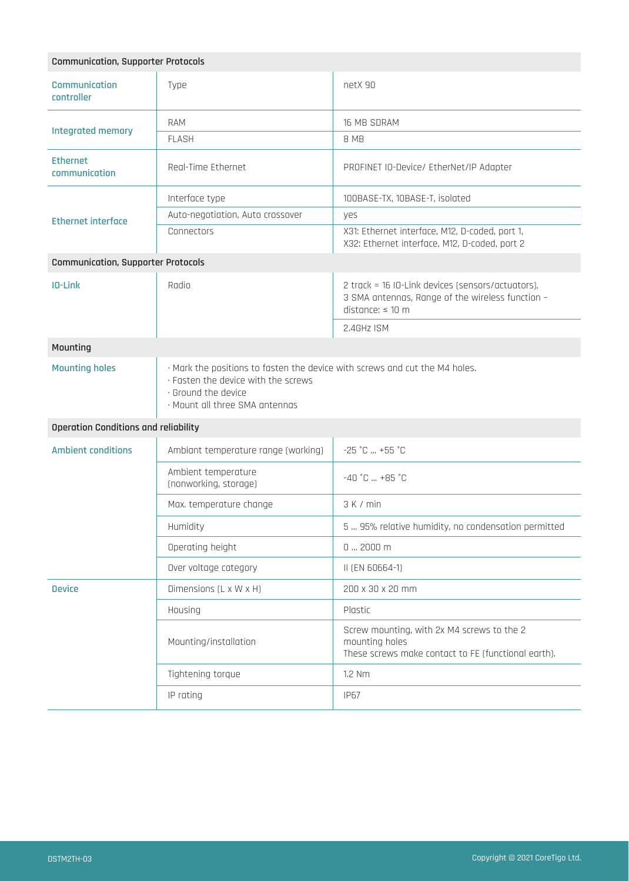| <b>Communication, Supporter Protocols</b>   |                                                                                                                                                                             |                                                                                                                         |  |  |  |
|---------------------------------------------|-----------------------------------------------------------------------------------------------------------------------------------------------------------------------------|-------------------------------------------------------------------------------------------------------------------------|--|--|--|
| <b>Communication</b><br>controller          | Type                                                                                                                                                                        | netX 90                                                                                                                 |  |  |  |
| Integrated memory                           | <b>RAM</b>                                                                                                                                                                  | 16 MB SDRAM                                                                                                             |  |  |  |
|                                             | <b>FLASH</b>                                                                                                                                                                | 8 MB                                                                                                                    |  |  |  |
| <b>Ethernet</b><br>communication            | Real-Time Ethernet                                                                                                                                                          | PROFINET IO-Device/ EtherNet/IP Adapter                                                                                 |  |  |  |
|                                             | Interface type                                                                                                                                                              | 100BASE-TX, 10BASE-T, isolated                                                                                          |  |  |  |
| <b>Ethernet interface</b>                   | Auto-negotiation, Auto crossover                                                                                                                                            | yes                                                                                                                     |  |  |  |
|                                             | Connectors                                                                                                                                                                  | X31: Ethernet interface, M12, D-coded, port 1,<br>X32: Ethernet interface, M12, D-coded, port 2                         |  |  |  |
| <b>Communication, Supporter Protocols</b>   |                                                                                                                                                                             |                                                                                                                         |  |  |  |
| IO-Link                                     | Radio                                                                                                                                                                       | 2 track = 16 IO-Link devices (sensors/actuators),<br>3 SMA antennas, Range of the wireless function -<br>distance: 10 m |  |  |  |
|                                             |                                                                                                                                                                             | 2.4GHz ISM                                                                                                              |  |  |  |
| Mounting                                    |                                                                                                                                                                             |                                                                                                                         |  |  |  |
| <b>Mounting holes</b>                       | · Mark the positions to fasten the device with screws and cut the M4 holes.<br>· Fasten the device with the screws<br>· Ground the device<br>· Mount all three SMA antennas |                                                                                                                         |  |  |  |
| <b>Operation Conditions and reliability</b> |                                                                                                                                                                             |                                                                                                                         |  |  |  |
| <b>Ambient conditions</b>                   | Ambiant temperature range (working)                                                                                                                                         | $-25$ $^{\circ}$ C $+55$ $^{\circ}$ C                                                                                   |  |  |  |
|                                             | Ambient temperature<br>(nonworking, storage)                                                                                                                                | $-40$ $^{\circ}$ C $+85$ $^{\circ}$ C                                                                                   |  |  |  |
|                                             | Max. temperature change                                                                                                                                                     | 3 K / min                                                                                                               |  |  |  |
|                                             | Humidity                                                                                                                                                                    | 5  95% relative humidity, no condensation permitted                                                                     |  |  |  |
|                                             | Operating height                                                                                                                                                            | $02000$ m                                                                                                               |  |  |  |
|                                             | Over voltage category                                                                                                                                                       | II (EN 60664-1)                                                                                                         |  |  |  |
| <b>Device</b>                               | Dimensions (L x W x H)                                                                                                                                                      | 200 x 30 x 20 mm                                                                                                        |  |  |  |
|                                             | Housing                                                                                                                                                                     | Plastic                                                                                                                 |  |  |  |
|                                             | Mounting/installation                                                                                                                                                       | Screw mounting, with 2x M4 screws to the 2<br>mounting holes<br>These screws make contact to FE (functional earth).     |  |  |  |
|                                             | Tightening torque                                                                                                                                                           | 1.2 Nm                                                                                                                  |  |  |  |
|                                             | IP rating                                                                                                                                                                   | <b>IP67</b>                                                                                                             |  |  |  |